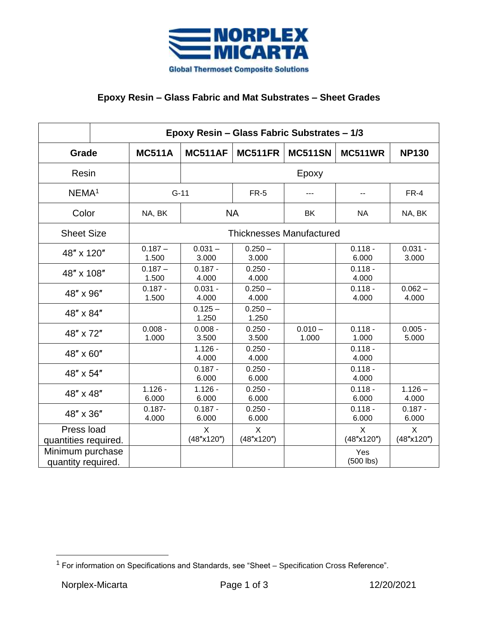

## **Epoxy Resin – Glass Fabric and Mat Substrates – Sheet Grades**

|                                        | Epoxy Resin - Glass Fabric Substrates - 1/3 |                                 |                    |                    |                    |                    |  |  |
|----------------------------------------|---------------------------------------------|---------------------------------|--------------------|--------------------|--------------------|--------------------|--|--|
| Grade                                  | <b>MC511A</b>                               | <b>MC511AF</b>                  | <b>MC511FR</b>     | <b>MC511SN</b>     | <b>MC511WR</b>     | <b>NP130</b>       |  |  |
| Resin                                  |                                             | Epoxy                           |                    |                    |                    |                    |  |  |
| NEMA <sup>1</sup>                      |                                             | $G-11$                          |                    |                    |                    | FR-4               |  |  |
| Color                                  | NA, BK                                      | <b>NA</b>                       |                    | ΒK                 | <b>NA</b>          | NA, BK             |  |  |
| <b>Sheet Size</b>                      |                                             | <b>Thicknesses Manufactured</b> |                    |                    |                    |                    |  |  |
| 48" x 120"                             | $0.187 -$<br>1.500                          | $0.031 -$<br>3.000              | $0.250 -$<br>3.000 |                    | $0.118 -$<br>6.000 | $0.031 -$<br>3.000 |  |  |
| 48" x 108"                             | $0.187 -$<br>1.500                          | $0.187 -$<br>4.000              | $0.250 -$<br>4.000 |                    | $0.118 -$<br>4.000 |                    |  |  |
| 48" x 96"                              | $0.187 -$<br>1.500                          | $0.031 -$<br>4.000              | $0.250 -$<br>4.000 |                    | $0.118 -$<br>4.000 | $0.062 -$<br>4.000 |  |  |
| 48" x 84"                              |                                             | $0.125 -$<br>1.250              | $0.250 -$<br>1.250 |                    |                    |                    |  |  |
| 48" x 72"                              | $0.008 -$<br>1.000                          | $0.008 -$<br>3.500              | $0.250 -$<br>3.500 | $0.010 -$<br>1.000 | $0.118 -$<br>1.000 | $0.005 -$<br>5.000 |  |  |
| 48" x 60"                              |                                             | $1.126 -$<br>4.000              | $0.250 -$<br>4.000 |                    | $0.118 -$<br>4.000 |                    |  |  |
| 48" x 54"                              |                                             | $0.187 -$<br>6.000              | $0.250 -$<br>6.000 |                    | $0.118 -$<br>4.000 |                    |  |  |
| 48" x 48"                              | $1.126 -$<br>6.000                          | $1.126 -$<br>6.000              | $0.250 -$<br>6.000 |                    | $0.118 -$<br>6.000 | $1.126 -$<br>4.000 |  |  |
| 48" x 36"                              | $0.187 -$<br>4.000                          | $0.187 -$<br>6.000              | $0.250 -$<br>6.000 |                    | $0.118 -$<br>6.000 | $0.187 -$<br>6.000 |  |  |
| Press load<br>quantities required.     |                                             | X<br>(48"x120")                 | X<br>(48"x120")    |                    | X<br>(48"x120")    | X<br>(48"x120")    |  |  |
| Minimum purchase<br>quantity required. |                                             |                                 |                    |                    | Yes<br>$(500$ lbs) |                    |  |  |

 $1$  For information on Specifications and Standards, see "Sheet – Specification Cross Reference".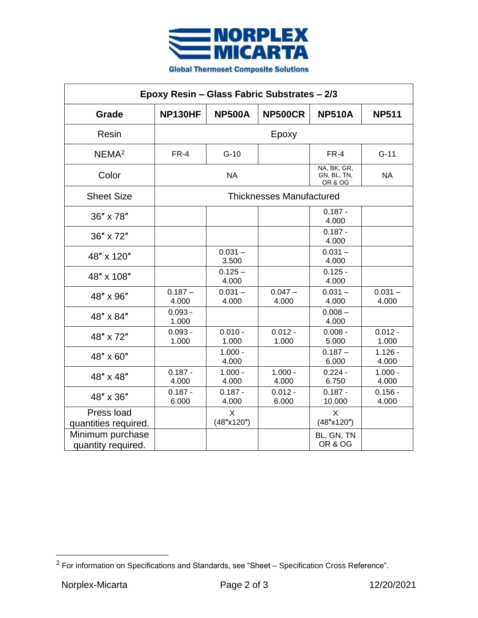

| Epoxy Resin - Glass Fabric Substrates - 2/3 |                                 |                    |                    |                                                  |                    |  |  |
|---------------------------------------------|---------------------------------|--------------------|--------------------|--------------------------------------------------|--------------------|--|--|
| Grade                                       | NP130HF                         | <b>NP500A</b>      | <b>NP500CR</b>     | <b>NP510A</b>                                    | <b>NP511</b>       |  |  |
| Resin                                       | Epoxy                           |                    |                    |                                                  |                    |  |  |
| NEMA <sup>2</sup>                           | FR-4                            | $G-10$             |                    | FR-4                                             | $G-11$             |  |  |
| Color                                       | <b>NA</b>                       |                    |                    | NA, BK, GR,<br>GN, BL, TN,<br><b>OR &amp; OG</b> | <b>NA</b>          |  |  |
| <b>Sheet Size</b>                           | <b>Thicknesses Manufactured</b> |                    |                    |                                                  |                    |  |  |
| 36" x 78"                                   |                                 |                    |                    | $0.187 -$<br>4.000                               |                    |  |  |
| 36" x 72"                                   |                                 |                    |                    | $0.187 -$<br>4.000                               |                    |  |  |
| 48" x 120"                                  |                                 | $0.031 -$<br>3.500 |                    | $0.031 -$<br>4.000                               |                    |  |  |
| 48" x 108"                                  |                                 | $0.125 -$<br>4.000 |                    | $0.125 -$<br>4.000                               |                    |  |  |
| 48" x 96"                                   | $0.187 -$<br>4.000              | $0.031 -$<br>4.000 | $0.047 -$<br>4.000 | $0.031 -$<br>4.000                               | $0.031 -$<br>4.000 |  |  |
| 48" x 84"                                   | $0.093 -$<br>1.000              |                    |                    | $0.008 -$<br>4.000                               |                    |  |  |
| 48" x 72"                                   | $0.093 -$<br>1.000              | $0.010 -$<br>1.000 | $0.012 -$<br>1.000 | $0.008 -$<br>5.000                               | $0.012 -$<br>1.000 |  |  |
| 48" x 60"                                   |                                 | $1.000 -$<br>4.000 |                    | $0.187 -$<br>6.000                               | $1.126 -$<br>4.000 |  |  |
| 48" x 48"                                   | $0.187 -$<br>4.000              | $1.000 -$<br>4.000 | $1.000 -$<br>4.000 | $0.224 -$<br>6.750                               | $1.000 -$<br>4.000 |  |  |
| 48" x 36"                                   | $0.187 -$<br>6.000              | $0.187 -$<br>4.000 | $0.012 -$<br>6.000 | $0.187 -$<br>10.000                              | $0.156 -$<br>4.000 |  |  |
| Press load<br>quantities required.          |                                 | X<br>(48"x120")    |                    | X<br>(48"x120")                                  |                    |  |  |
| Minimum purchase<br>quantity required.      |                                 |                    |                    | BL, GN, TN<br>OR & OG                            |                    |  |  |

 $2$  For information on Specifications and Standards, see "Sheet – Specification Cross Reference".